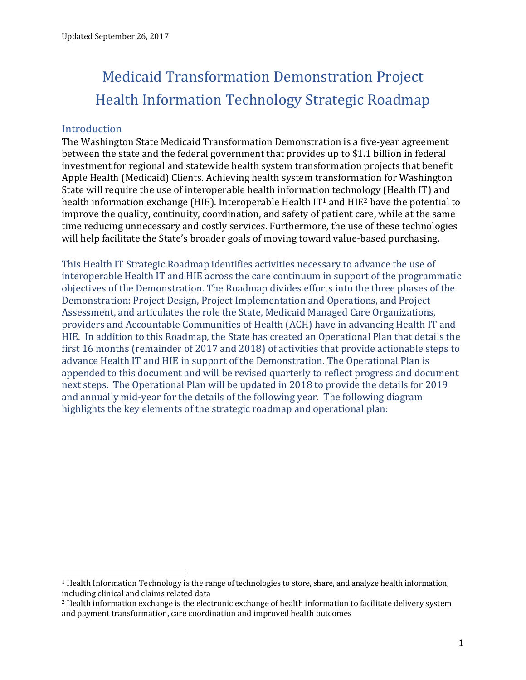# Medicaid Transformation Demonstration Project Health Information Technology Strategic Roadmap

## **Introduction**

 $\overline{a}$ 

The Washington State Medicaid Transformation Demonstration is a five-year agreement between the state and the federal government that provides up to \$1.1 billion in federal investment for regional and statewide health system transformation projects that benefit Apple Health (Medicaid) Clients. Achieving health system transformation for Washington State will require the use of interoperable health information technology (Health IT) and health information exchange (HIE). Interoperable Health IT<sup>1</sup> and HIE<sup>2</sup> have the potential to improve the quality, continuity, coordination, and safety of patient care, while at the same time reducing unnecessary and costly services. Furthermore, the use of these technologies will help facilitate the State's broader goals of moving toward value-based purchasing.

This Health IT Strategic Roadmap identifies activities necessary to advance the use of interoperable Health IT and HIE across the care continuum in support of the programmatic objectives of the Demonstration. The Roadmap divides efforts into the three phases of the Demonstration: Project Design, Project Implementation and Operations, and Project Assessment, and articulates the role the State, Medicaid Managed Care Organizations, providers and Accountable Communities of Health (ACH) have in advancing Health IT and HIE. In addition to this Roadmap, the State has created an Operational Plan that details the first 16 months (remainder of 2017 and 2018) of activities that provide actionable steps to advance Health IT and HIE in support of the Demonstration. The Operational Plan is appended to this document and will be revised quarterly to reflect progress and document next steps. The Operational Plan will be updated in 2018 to provide the details for 2019 and annually mid-year for the details of the following year. The following diagram highlights the key elements of the strategic roadmap and operational plan:

<sup>1</sup> Health Information Technology is the range of technologies to store, share, and analyze health information, including clinical and claims related data

<sup>2</sup> Health information exchange is the electronic exchange of health information to facilitate delivery system and payment transformation, care coordination and improved health outcomes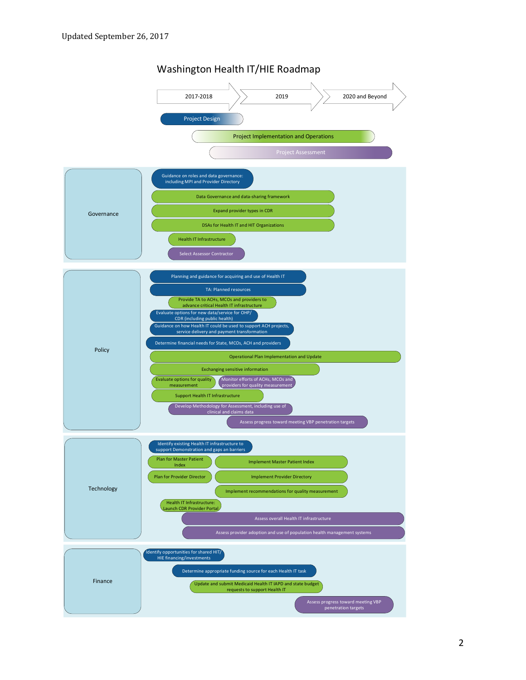

#### Washington Health IT/HIE Roadmap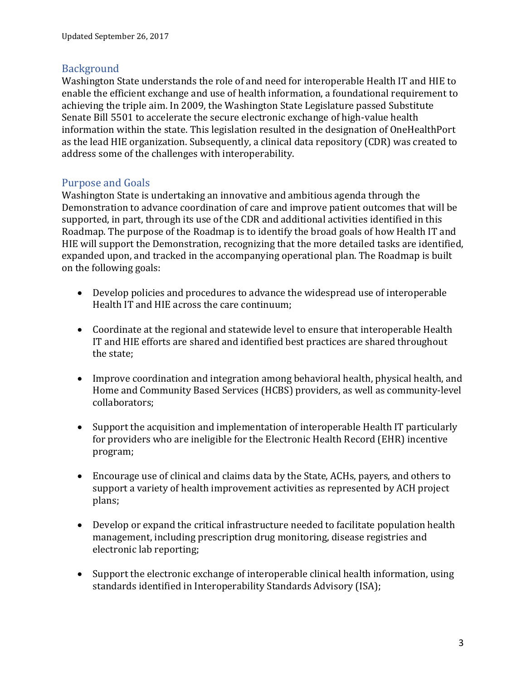## Background

Washington State understands the role of and need for interoperable Health IT and HIE to enable the efficient exchange and use of health information, a foundational requirement to achieving the triple aim. In 2009, the Washington State Legislature passed Substitute Senate Bill 5501 to accelerate the secure electronic exchange of high-value health information within the state. This legislation resulted in the designation of OneHealthPort as the lead HIE organization. Subsequently, a clinical data repository (CDR) was created to address some of the challenges with interoperability.

# Purpose and Goals

Washington State is undertaking an innovative and ambitious agenda through the Demonstration to advance coordination of care and improve patient outcomes that will be supported, in part, through its use of the CDR and additional activities identified in this Roadmap. The purpose of the Roadmap is to identify the broad goals of how Health IT and HIE will support the Demonstration, recognizing that the more detailed tasks are identified, expanded upon, and tracked in the accompanying operational plan. The Roadmap is built on the following goals:

- Develop policies and procedures to advance the widespread use of interoperable Health IT and HIE across the care continuum;
- Coordinate at the regional and statewide level to ensure that interoperable Health IT and HIE efforts are shared and identified best practices are shared throughout the state;
- Improve coordination and integration among behavioral health, physical health, and Home and Community Based Services (HCBS) providers, as well as community-level collaborators;
- Support the acquisition and implementation of interoperable Health IT particularly for providers who are ineligible for the Electronic Health Record (EHR) incentive program;
- Encourage use of clinical and claims data by the State, ACHs, payers, and others to support a variety of health improvement activities as represented by ACH project plans;
- Develop or expand the critical infrastructure needed to facilitate population health management, including prescription drug monitoring, disease registries and electronic lab reporting;
- Support the electronic exchange of interoperable clinical health information, using standards identified in Interoperability Standards Advisory (ISA);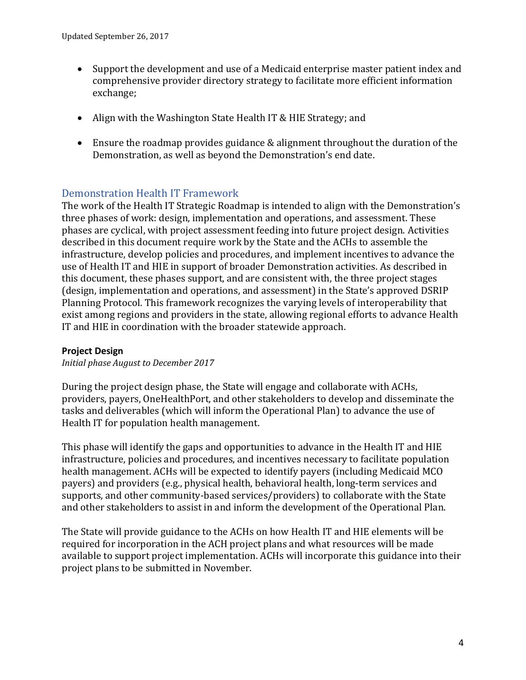- Support the development and use of a Medicaid enterprise master patient index and comprehensive provider directory strategy to facilitate more efficient information exchange;
- Align with the Washington State Health IT & HIE Strategy; and
- Ensure the roadmap provides guidance & alignment throughout the duration of the Demonstration, as well as beyond the Demonstration's end date.

# Demonstration Health IT Framework

The work of the Health IT Strategic Roadmap is intended to align with the Demonstration's three phases of work: design, implementation and operations, and assessment. These phases are cyclical, with project assessment feeding into future project design. Activities described in this document require work by the State and the ACHs to assemble the infrastructure, develop policies and procedures, and implement incentives to advance the use of Health IT and HIE in support of broader Demonstration activities. As described in this document, these phases support, and are consistent with, the three project stages (design, implementation and operations, and assessment) in the State's approved DSRIP Planning Protocol. This framework recognizes the varying levels of interoperability that exist among regions and providers in the state, allowing regional efforts to advance Health IT and HIE in coordination with the broader statewide approach.

### **Project Design**

*Initial phase August to December 2017*

During the project design phase, the State will engage and collaborate with ACHs, providers, payers, OneHealthPort, and other stakeholders to develop and disseminate the tasks and deliverables (which will inform the Operational Plan) to advance the use of Health IT for population health management.

This phase will identify the gaps and opportunities to advance in the Health IT and HIE infrastructure, policies and procedures, and incentives necessary to facilitate population health management. ACHs will be expected to identify payers (including Medicaid MCO payers) and providers (e.g., physical health, behavioral health, long-term services and supports, and other community-based services/providers) to collaborate with the State and other stakeholders to assist in and inform the development of the Operational Plan.

The State will provide guidance to the ACHs on how Health IT and HIE elements will be required for incorporation in the ACH project plans and what resources will be made available to support project implementation. ACHs will incorporate this guidance into their project plans to be submitted in November.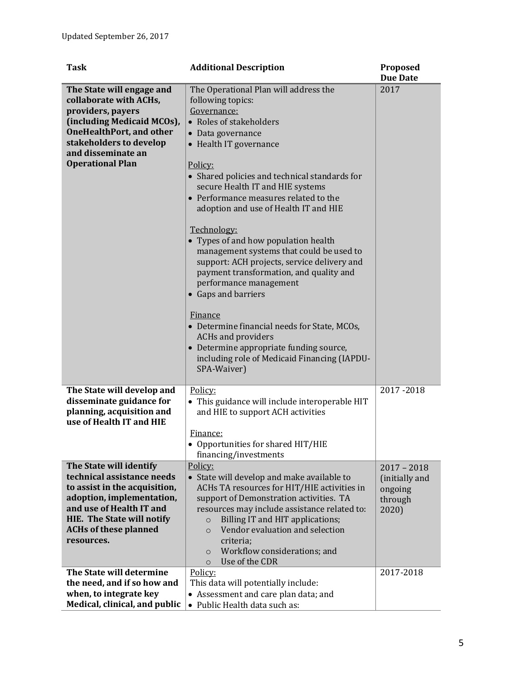| Task                                                                                                                                                                                                                        | <b>Additional Description</b>                                                                                                                                                                                                                                                                                                                                                                                                                                                                                                                                                                                                                                                                                                                                                         | Proposed<br><b>Due Date</b>                                    |
|-----------------------------------------------------------------------------------------------------------------------------------------------------------------------------------------------------------------------------|---------------------------------------------------------------------------------------------------------------------------------------------------------------------------------------------------------------------------------------------------------------------------------------------------------------------------------------------------------------------------------------------------------------------------------------------------------------------------------------------------------------------------------------------------------------------------------------------------------------------------------------------------------------------------------------------------------------------------------------------------------------------------------------|----------------------------------------------------------------|
| The State will engage and<br>collaborate with ACHs,<br>providers, payers<br>(including Medicaid MCOs),<br><b>OneHealthPort, and other</b><br>stakeholders to develop<br>and disseminate an<br><b>Operational Plan</b>       | The Operational Plan will address the<br>following topics:<br>Governance:<br>• Roles of stakeholders<br>• Data governance<br>• Health IT governance<br>Policy:<br>• Shared policies and technical standards for<br>secure Health IT and HIE systems<br>• Performance measures related to the<br>adoption and use of Health IT and HIE<br>Technology:<br>• Types of and how population health<br>management systems that could be used to<br>support: ACH projects, service delivery and<br>payment transformation, and quality and<br>performance management<br>• Gaps and barriers<br>Finance<br>• Determine financial needs for State, MCOs,<br><b>ACHs and providers</b><br>• Determine appropriate funding source,<br>including role of Medicaid Financing (IAPDU-<br>SPA-Waiver) | 2017                                                           |
| The State will develop and<br>disseminate guidance for<br>planning, acquisition and<br>use of Health IT and HIE                                                                                                             | Policy:<br>• This guidance will include interoperable HIT<br>and HIE to support ACH activities<br><u>Finance:</u><br>• Opportunities for shared HIT/HIE<br>financing/investments                                                                                                                                                                                                                                                                                                                                                                                                                                                                                                                                                                                                      | 2017-2018                                                      |
| The State will identify<br>technical assistance needs<br>to assist in the acquisition,<br>adoption, implementation,<br>and use of Health IT and<br>HIE. The State will notify<br><b>ACHs of these planned</b><br>resources. | Policy:<br>• State will develop and make available to<br>ACHs TA resources for HIT/HIE activities in<br>support of Demonstration activities. TA<br>resources may include assistance related to:<br>Billing IT and HIT applications;<br>$\circ$<br>Vendor evaluation and selection<br>$\Omega$<br>criteria;<br>Workflow considerations; and<br>$\circ$<br>Use of the CDR<br>$\circ$                                                                                                                                                                                                                                                                                                                                                                                                    | $2017 - 2018$<br>(initially and<br>ongoing<br>through<br>2020) |
| The State will determine<br>the need, and if so how and<br>when, to integrate key<br>Medical, clinical, and public                                                                                                          | Policy:<br>This data will potentially include:<br>• Assessment and care plan data; and<br>• Public Health data such as:                                                                                                                                                                                                                                                                                                                                                                                                                                                                                                                                                                                                                                                               | 2017-2018                                                      |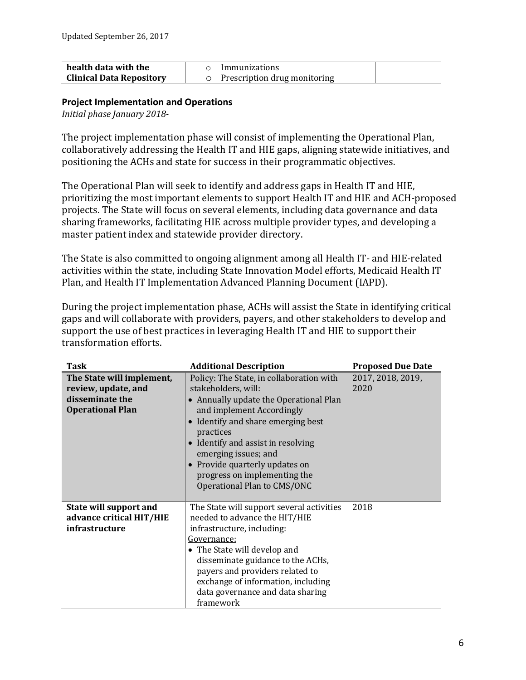| health data with the            | Immunizations                |
|---------------------------------|------------------------------|
| <b>Clinical Data Repository</b> | Prescription drug monitoring |

#### **Project Implementation and Operations**

*Initial phase January 2018-*

The project implementation phase will consist of implementing the Operational Plan, collaboratively addressing the Health IT and HIE gaps, aligning statewide initiatives, and positioning the ACHs and state for success in their programmatic objectives.

The Operational Plan will seek to identify and address gaps in Health IT and HIE, prioritizing the most important elements to support Health IT and HIE and ACH-proposed projects. The State will focus on several elements, including data governance and data sharing frameworks, facilitating HIE across multiple provider types, and developing a master patient index and statewide provider directory.

The State is also committed to ongoing alignment among all Health IT- and HIE-related activities within the state, including State Innovation Model efforts, Medicaid Health IT Plan, and Health IT Implementation Advanced Planning Document (IAPD).

During the project implementation phase, ACHs will assist the State in identifying critical gaps and will collaborate with providers, payers, and other stakeholders to develop and support the use of best practices in leveraging Health IT and HIE to support their transformation efforts.

| Task                                                                                           | <b>Additional Description</b>                                                                                                                                                                                                                                                                                                                        | <b>Proposed Due Date</b>  |
|------------------------------------------------------------------------------------------------|------------------------------------------------------------------------------------------------------------------------------------------------------------------------------------------------------------------------------------------------------------------------------------------------------------------------------------------------------|---------------------------|
| The State will implement,<br>review, update, and<br>disseminate the<br><b>Operational Plan</b> | Policy: The State, in collaboration with<br>stakeholders, will:<br>• Annually update the Operational Plan<br>and implement Accordingly<br>Identify and share emerging best<br>practices<br>Identify and assist in resolving<br>emerging issues; and<br>• Provide quarterly updates on<br>progress on implementing the<br>Operational Plan to CMS/ONC | 2017, 2018, 2019,<br>2020 |
| State will support and<br>advance critical HIT/HIE<br>infrastructure                           | The State will support several activities<br>needed to advance the HIT/HIE<br>infrastructure, including:<br>Governance:<br>• The State will develop and<br>disseminate guidance to the ACHs,<br>payers and providers related to<br>exchange of information, including<br>data governance and data sharing<br>framework                               | 2018                      |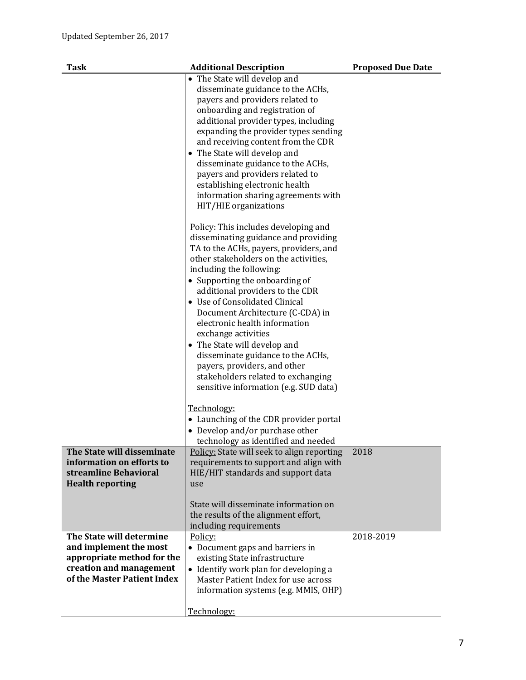| <b>Task</b>                                                                                                                                | <b>Additional Description</b>                                                                                                                                                                                                                                                                                                                                                                                                                                                                                                                                                                                                                                                                                                                                                                                                                                                                                                                                                                                                                                | <b>Proposed Due Date</b> |
|--------------------------------------------------------------------------------------------------------------------------------------------|--------------------------------------------------------------------------------------------------------------------------------------------------------------------------------------------------------------------------------------------------------------------------------------------------------------------------------------------------------------------------------------------------------------------------------------------------------------------------------------------------------------------------------------------------------------------------------------------------------------------------------------------------------------------------------------------------------------------------------------------------------------------------------------------------------------------------------------------------------------------------------------------------------------------------------------------------------------------------------------------------------------------------------------------------------------|--------------------------|
|                                                                                                                                            | • The State will develop and<br>disseminate guidance to the ACHs,<br>payers and providers related to<br>onboarding and registration of<br>additional provider types, including<br>expanding the provider types sending<br>and receiving content from the CDR<br>• The State will develop and<br>disseminate guidance to the ACHs,<br>payers and providers related to<br>establishing electronic health<br>information sharing agreements with<br>HIT/HIE organizations<br>Policy: This includes developing and<br>disseminating guidance and providing<br>TA to the ACHs, payers, providers, and<br>other stakeholders on the activities,<br>including the following:<br>• Supporting the onboarding of<br>additional providers to the CDR<br>• Use of Consolidated Clinical<br>Document Architecture (C-CDA) in<br>electronic health information<br>exchange activities<br>• The State will develop and<br>disseminate guidance to the ACHs,<br>payers, providers, and other<br>stakeholders related to exchanging<br>sensitive information (e.g. SUD data) |                          |
|                                                                                                                                            | Technology:<br>• Launching of the CDR provider portal<br>• Develop and/or purchase other<br>technology as identified and needed                                                                                                                                                                                                                                                                                                                                                                                                                                                                                                                                                                                                                                                                                                                                                                                                                                                                                                                              |                          |
| The State will disseminate<br>information on efforts to<br>streamline Behavioral<br><b>Health reporting</b>                                | Policy: State will seek to align reporting<br>requirements to support and align with<br>HIE/HIT standards and support data<br>use<br>State will disseminate information on<br>the results of the alignment effort,<br>including requirements                                                                                                                                                                                                                                                                                                                                                                                                                                                                                                                                                                                                                                                                                                                                                                                                                 | 2018                     |
| The State will determine<br>and implement the most<br>appropriate method for the<br>creation and management<br>of the Master Patient Index | Policy:<br>• Document gaps and barriers in<br>existing State infrastructure<br>• Identify work plan for developing a<br>Master Patient Index for use across<br>information systems (e.g. MMIS, OHP)<br>Technology:                                                                                                                                                                                                                                                                                                                                                                                                                                                                                                                                                                                                                                                                                                                                                                                                                                           | 2018-2019                |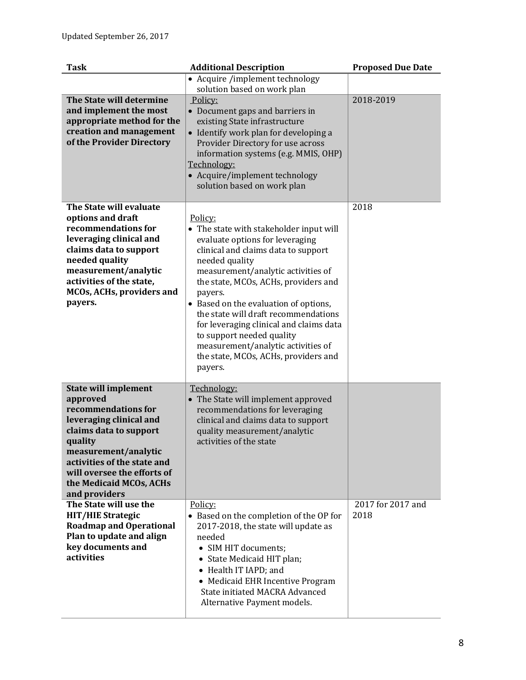| <b>Task</b>                                                                                                                                                                                                                                                      | <b>Additional Description</b>                                                                                                                                                                                                                                                                                                                                                                                                                                                             | <b>Proposed Due Date</b>  |
|------------------------------------------------------------------------------------------------------------------------------------------------------------------------------------------------------------------------------------------------------------------|-------------------------------------------------------------------------------------------------------------------------------------------------------------------------------------------------------------------------------------------------------------------------------------------------------------------------------------------------------------------------------------------------------------------------------------------------------------------------------------------|---------------------------|
|                                                                                                                                                                                                                                                                  | • Acquire /implement technology<br>solution based on work plan                                                                                                                                                                                                                                                                                                                                                                                                                            |                           |
| The State will determine<br>and implement the most<br>appropriate method for the<br>creation and management<br>of the Provider Directory                                                                                                                         | Policy:<br>• Document gaps and barriers in<br>existing State infrastructure<br>• Identify work plan for developing a<br>Provider Directory for use across<br>information systems (e.g. MMIS, OHP)<br>Technology:<br>• Acquire/implement technology<br>solution based on work plan                                                                                                                                                                                                         | 2018-2019                 |
| The State will evaluate<br>options and draft<br>recommendations for<br>leveraging clinical and<br>claims data to support<br>needed quality<br>measurement/analytic<br>activities of the state,<br>MCOs, ACHs, providers and<br>payers.                           | Policy:<br>• The state with stakeholder input will<br>evaluate options for leveraging<br>clinical and claims data to support<br>needed quality<br>measurement/analytic activities of<br>the state, MCOs, ACHs, providers and<br>payers.<br>• Based on the evaluation of options,<br>the state will draft recommendations<br>for leveraging clinical and claims data<br>to support needed quality<br>measurement/analytic activities of<br>the state, MCOs, ACHs, providers and<br>payers. | 2018                      |
| <b>State will implement</b><br>approved<br>recommendations for<br>leveraging clinical and<br>claims data to support<br>quality<br>measurement/analytic<br>activities of the state and<br>will oversee the efforts of<br>the Medicaid MCOs, ACHs<br>and providers | Technology:<br>• The State will implement approved<br>recommendations for leveraging<br>clinical and claims data to support<br>quality measurement/analytic<br>activities of the state                                                                                                                                                                                                                                                                                                    |                           |
| The State will use the<br><b>HIT/HIE Strategic</b><br><b>Roadmap and Operational</b><br>Plan to update and align<br>key documents and<br>activities                                                                                                              | Policy:<br>• Based on the completion of the OP for<br>2017-2018, the state will update as<br>needed<br>• SIM HIT documents;<br>• State Medicaid HIT plan;<br>• Health IT IAPD; and<br>• Medicaid EHR Incentive Program<br><b>State initiated MACRA Advanced</b><br>Alternative Payment models.                                                                                                                                                                                            | 2017 for 2017 and<br>2018 |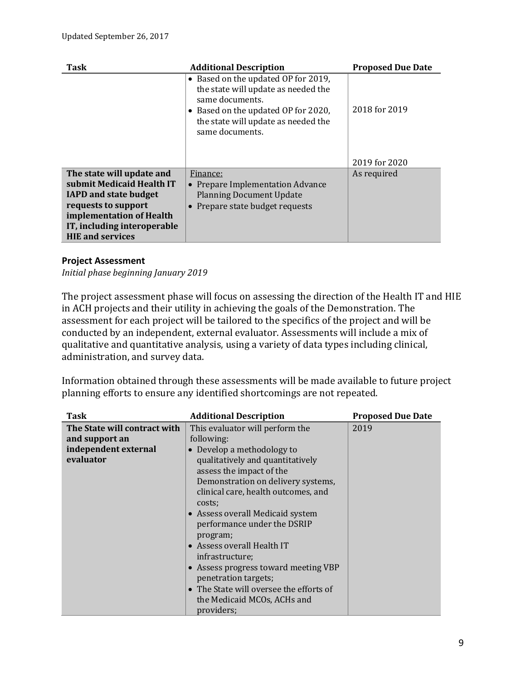| <b>Task</b>                                                                                                                                                                                         | <b>Additional Description</b>                                                                                                                                                                  | <b>Proposed Due Date</b> |
|-----------------------------------------------------------------------------------------------------------------------------------------------------------------------------------------------------|------------------------------------------------------------------------------------------------------------------------------------------------------------------------------------------------|--------------------------|
|                                                                                                                                                                                                     | • Based on the updated OP for 2019,<br>the state will update as needed the<br>same documents.<br>• Based on the updated OP for 2020,<br>the state will update as needed the<br>same documents. | 2018 for 2019            |
|                                                                                                                                                                                                     |                                                                                                                                                                                                | 2019 for 2020            |
| The state will update and<br>submit Medicaid Health IT<br><b>IAPD and state budget</b><br>requests to support<br>implementation of Health<br>IT, including interoperable<br><b>HIE and services</b> | Finance:<br><b>Prepare Implementation Advance</b><br><b>Planning Document Update</b><br>Prepare state budget requests                                                                          | As required              |

#### **Project Assessment**

*Initial phase beginning January 2019*

The project assessment phase will focus on assessing the direction of the Health IT and HIE in ACH projects and their utility in achieving the goals of the Demonstration. The assessment for each project will be tailored to the specifics of the project and will be conducted by an independent, external evaluator. Assessments will include a mix of qualitative and quantitative analysis, using a variety of data types including clinical, administration, and survey data.

Information obtained through these assessments will be made available to future project planning efforts to ensure any identified shortcomings are not repeated.

| Task                         | <b>Additional Description</b>           | <b>Proposed Due Date</b> |
|------------------------------|-----------------------------------------|--------------------------|
| The State will contract with | This evaluator will perform the         | 2019                     |
| and support an               | following:                              |                          |
| independent external         | Develop a methodology to                |                          |
| evaluator                    | qualitatively and quantitatively        |                          |
|                              | assess the impact of the                |                          |
|                              | Demonstration on delivery systems,      |                          |
|                              | clinical care, health outcomes, and     |                          |
|                              | costs;                                  |                          |
|                              | • Assess overall Medicaid system        |                          |
|                              | performance under the DSRIP             |                          |
|                              | program;                                |                          |
|                              | • Assess overall Health IT              |                          |
|                              | infrastructure;                         |                          |
|                              | • Assess progress toward meeting VBP    |                          |
|                              | penetration targets;                    |                          |
|                              | • The State will oversee the efforts of |                          |
|                              | the Medicaid MCOs, ACHs and             |                          |
|                              | providers;                              |                          |